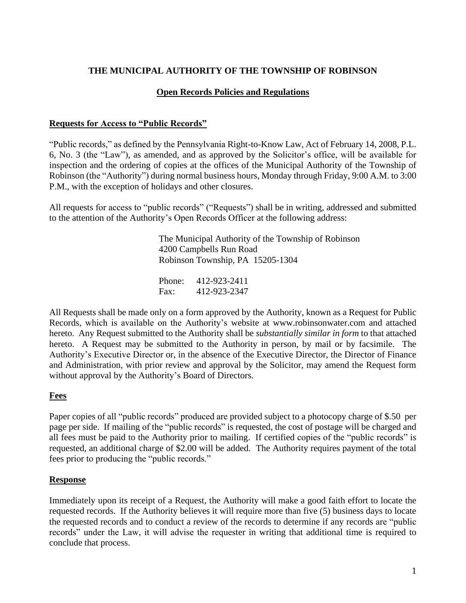# **THE MUNICIPAL AUTHORITY OF THE TOWNSHIP OF ROBINSON**

### **Open Records Policies and Regulations**

### **Requests for Access to "Public Records"**

"Public records," as defined by the Pennsylvania Right-to-Know Law, Act of February 14, 2008, P.L. 6, No. 3 (the "Law"), as amended, and as approved by the Solicitor's office, will be available for inspection and the ordering of copies at the offices of the Municipal Authority of the Township of Robinson (the "Authority") during normal business hours, Monday through Friday, 9:00 A.M. to 3:00 P.M., with the exception of holidays and other closures.

All requests for access to "public records" ("Requests") shall be in writing, addressed and submitted to the attention of the Authority's Open Records Officer at the following address:

> The Municipal Authority of the Township of Robinson 4200 Campbells Run Road Robinson Township, PA 15205-1304

Phone: 412-923-2411 Fax: 412-923-2347

All Requests shall be made only on a form approved by the Authority, known as a Request for Public Records, which is available on the Authority's website at www.robinsonwater.com and attached hereto. Any Request submitted to the Authority shall be *substantially similar in form* to that attached hereto. A Request may be submitted to the Authority in person, by mail or by facsimile. The Authority's Executive Director or, in the absence of the Executive Director, the Director of Finance and Administration, with prior review and approval by the Solicitor, may amend the Request form without approval by the Authority's Board of Directors.

#### **Fees**

Paper copies of all "public records" produced are provided subject to a photocopy charge of \$.50 per page per side. If mailing of the "public records" is requested, the cost of postage will be charged and all fees must be paid to the Authority prior to mailing. If certified copies of the "public records" is requested, an additional charge of \$2.00 will be added. The Authority requires payment of the total fees prior to producing the "public records."

#### **Response**

Immediately upon its receipt of a Request, the Authority will make a good faith effort to locate the requested records. If the Authority believes it will require more than five (5) business days to locate the requested records and to conduct a review of the records to determine if any records are "public records" under the Law, it will advise the requester in writing that additional time is required to conclude that process.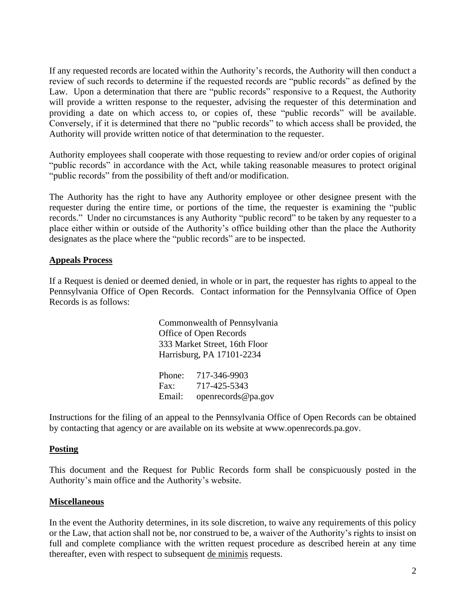If any requested records are located within the Authority's records, the Authority will then conduct a review of such records to determine if the requested records are "public records" as defined by the Law. Upon a determination that there are "public records" responsive to a Request, the Authority will provide a written response to the requester, advising the requester of this determination and providing a date on which access to, or copies of, these "public records" will be available. Conversely, if it is determined that there no "public records" to which access shall be provided, the Authority will provide written notice of that determination to the requester.

Authority employees shall cooperate with those requesting to review and/or order copies of original "public records" in accordance with the Act, while taking reasonable measures to protect original "public records" from the possibility of theft and/or modification.

The Authority has the right to have any Authority employee or other designee present with the requester during the entire time, or portions of the time, the requester is examining the "public records." Under no circumstances is any Authority "public record" to be taken by any requester to a place either within or outside of the Authority's office building other than the place the Authority designates as the place where the "public records" are to be inspected.

#### **Appeals Process**

If a Request is denied or deemed denied, in whole or in part, the requester has rights to appeal to the Pennsylvania Office of Open Records. Contact information for the Pennsylvania Office of Open Records is as follows:

> Commonwealth of Pennsylvania Office of Open Records 333 Market Street, 16th Floor Harrisburg, PA 17101-2234 Phone: 717-346-9903 Fax: 717-425-5343 Email: openrecords@pa.gov

Instructions for the filing of an appeal to the Pennsylvania Office of Open Records can be obtained by contacting that agency or are available on its website at www.openrecords.pa.gov.

#### **Posting**

This document and the Request for Public Records form shall be conspicuously posted in the Authority's main office and the Authority's website.

#### **Miscellaneous**

In the event the Authority determines, in its sole discretion, to waive any requirements of this policy or the Law, that action shall not be, nor construed to be, a waiver of the Authority's rights to insist on full and complete compliance with the written request procedure as described herein at any time thereafter, even with respect to subsequent de minimis requests.